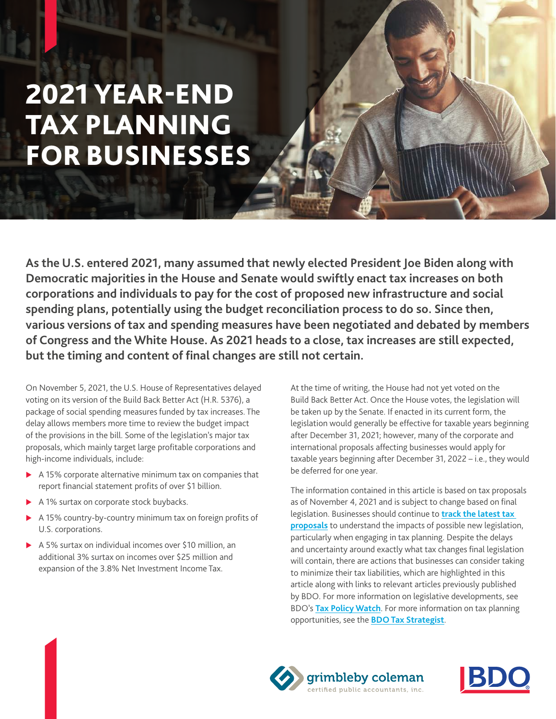# 2021 YEAR-END TAX PLANNING FOR BUSINESSES

**As the U.S. entered 2021, many assumed that newly elected President Joe Biden along with Democratic majorities in the House and Senate would swiftly enact tax increases on both corporations and individuals to pay for the cost of proposed new infrastructure and social spending plans, potentially using the budget reconciliation process to do so. Since then, various versions of tax and spending measures have been negotiated and debated by members of Congress and the White House. As 2021 heads to a close, tax increases are still expected, but the timing and content of final changes are still not certain.**

On November 5, 2021, the U.S. House of Representatives delayed voting on its version of the Build Back Better Act (H.R. 5376), a package of social spending measures funded by tax increases. The delay allows members more time to review the budget impact of the provisions in the bill. Some of the legislation's major tax proposals, which mainly target large profitable corporations and high-income individuals, include:

- $\triangleright$  A 15% corporate alternative minimum tax on companies that report financial statement profits of over \$1 billion.
- A 1% surtax on corporate stock buybacks.
- A 15% country-by-country minimum tax on foreign profits of U.S. corporations.
- $\triangleright$  A 5% surtax on individual incomes over \$10 million, an additional 3% surtax on incomes over \$25 million and expansion of the 3.8% Net Investment Income Tax.

At the time of writing, the House had not yet voted on the Build Back Better Act. Once the House votes, the legislation will be taken up by the Senate. If enacted in its current form, the legislation would generally be effective for taxable years beginning after December 31, 2021; however, many of the corporate and international proposals affecting businesses would apply for taxable years beginning after December 31, 2022 – i.e., they would be deferred for one year.

The information contained in this article is based on tax proposals as of November 4, 2021 and is subject to change based on final legislation. Businesses should continue to **[track the latest tax](https://www.bdo.com/insights/tax/federal-tax/tracking-federal-tax-legislative-proposals)  [proposals](https://www.bdo.com/insights/tax/federal-tax/tracking-federal-tax-legislative-proposals)** to understand the impacts of possible new legislation, particularly when engaging in tax planning. Despite the delays and uncertainty around exactly what tax changes final legislation will contain, there are actions that businesses can consider taking to minimize their tax liabilities, which are highlighted in this article along with links to relevant articles previously published by BDO. For more information on legislative developments, see BDO's **[Tax Policy Watch](https://www.bdo.com/resources/tax-policy-watch)**. For more information on tax planning opportunities, see the **[BDO Tax Strategist](https://www.bdo.com/resources/the-bdo-tax-strategist#:~:text=The%20BDO%20Tax%20Strategist%20provides%20valuable%20information%20on,guide%20you%20and%20protect%20your%20company%E2%80%99s%20bottom%20line.)**.



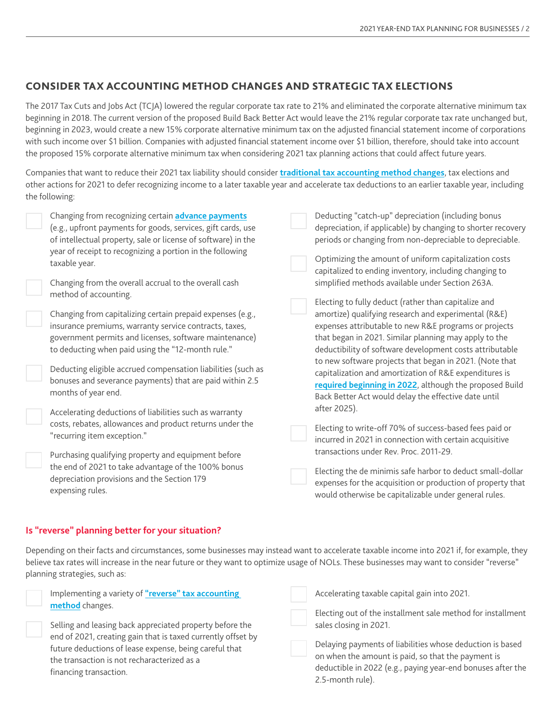## CONSIDER TAX ACCOUNTING METHOD CHANGES AND STRATEGIC TAX ELECTIONS

The 2017 Tax Cuts and Jobs Act (TCJA) lowered the regular corporate tax rate to 21% and eliminated the corporate alternative minimum tax beginning in 2018. The current version of the proposed Build Back Better Act would leave the 21% regular corporate tax rate unchanged but, beginning in 2023, would create a new 15% corporate alternative minimum tax on the adjusted financial statement income of corporations with such income over \$1 billion. Companies with adjusted financial statement income over \$1 billion, therefore, should take into account the proposed 15% corporate alternative minimum tax when considering 2021 tax planning actions that could affect future years.

Companies that want to reduce their 2021 tax liability should consider **[traditional tax accounting method changes](https://www.bdo.com/insights/tax/federal-tax/accounting-methods-choosing-a-direction-for-2021)**, tax elections and other actions for 2021 to defer recognizing income to a later taxable year and accelerate tax deductions to an earlier taxable year, including the following:

| Changing from recognizing certain <b>advance payments</b><br>(e.g., upfront payments for goods, services, gift cards, use<br>of intellectual property, sale or license of software) in the<br>year of receipt to recognizing a portion in the following<br>taxable year. | Deducting "catch-up" depreciation (including bonus<br>depreciation, if applicable) by changing to shorter recovery<br>periods or changing from non-depreciable to depreciable.<br>Optimizing the amount of uniform capitalization costs<br>capitalized to ending inventory, including changing to |
|--------------------------------------------------------------------------------------------------------------------------------------------------------------------------------------------------------------------------------------------------------------------------|---------------------------------------------------------------------------------------------------------------------------------------------------------------------------------------------------------------------------------------------------------------------------------------------------|
| Changing from the overall accrual to the overall cash<br>method of accounting.                                                                                                                                                                                           | simplified methods available under Section 263A.<br>Electing to fully deduct (rather than capitalize and                                                                                                                                                                                          |
| Changing from capitalizing certain prepaid expenses (e.g.,<br>insurance premiums, warranty service contracts, taxes,<br>government permits and licenses, software maintenance)<br>to deducting when paid using the "12-month rule."                                      | amortize) qualifying research and experimental (R&E)<br>expenses attributable to new R&E programs or projects<br>that began in 2021. Similar planning may apply to the<br>deductibility of software development costs attributable                                                                |
| Deducting eligible accrued compensation liabilities (such as<br>bonuses and severance payments) that are paid within 2.5<br>months of year end.                                                                                                                          | to new software projects that began in 2021. (Note that<br>capitalization and amortization of R&E expenditures is<br>required beginning in 2022, although the proposed Build<br>Back Better Act would delay the effective date until                                                              |
| Accelerating deductions of liabilities such as warranty<br>costs, rebates, allowances and product returns under the<br>"recurring item exception."                                                                                                                       | after 2025).<br>Electing to write-off 70% of success-based fees paid or<br>incurred in 2021 in connection with certain acquisitive                                                                                                                                                                |
| Purchasing qualifying property and equipment before                                                                                                                                                                                                                      | transactions under Rev. Proc. 2011-29.                                                                                                                                                                                                                                                            |
| the end of 2021 to take advantage of the 100% bonus<br>depreciation provisions and the Section 179<br>expensing rules.                                                                                                                                                   | Electing the de minimis safe harbor to deduct small-dollar<br>expenses for the acquisition or production of property that<br>would otherwise be capitalizable under general rules.                                                                                                                |

#### **Is "reverse" planning better for your situation?**

Depending on their facts and circumstances, some businesses may instead want to accelerate taxable income into 2021 if, for example, they believe tax rates will increase in the near future or they want to optimize usage of NOLs. These businesses may want to consider "reverse" planning strategies, such as:

| Implementing a variety of "reverse" tax accounting<br>method changes.<br>Selling and leasing back appreciated property before the<br>end of 2021, creating gain that is taxed currently offset by<br>future deductions of lease expense, being careful that<br>the transaction is not recharacterized as a<br>financing transaction. | Accelerating taxable capital gain into 2021.                                                                                                                                                       |
|--------------------------------------------------------------------------------------------------------------------------------------------------------------------------------------------------------------------------------------------------------------------------------------------------------------------------------------|----------------------------------------------------------------------------------------------------------------------------------------------------------------------------------------------------|
|                                                                                                                                                                                                                                                                                                                                      | Electing out of the installment sale method for installment<br>sales closing in 2021.                                                                                                              |
|                                                                                                                                                                                                                                                                                                                                      | Delaying payments of liabilities whose deduction is based<br>on when the amount is paid, so that the payment is<br>deductible in 2022 (e.g., paying year-end bonuses after the<br>2.5-month rule). |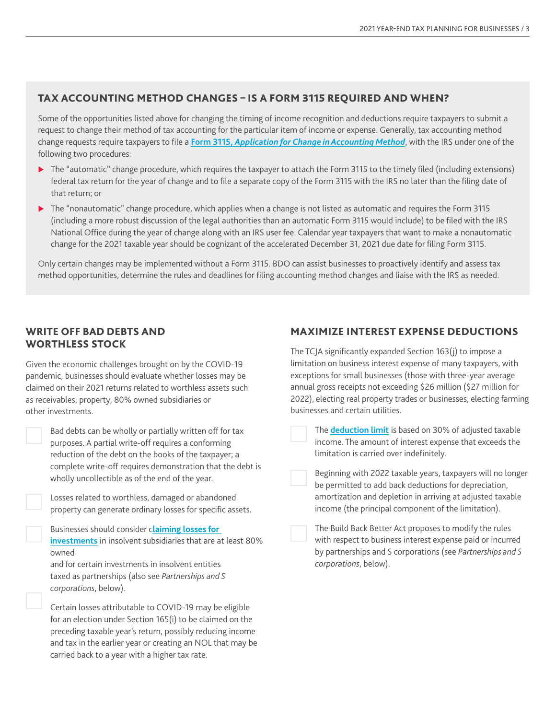## TAX ACCOUNTING METHOD CHANGES – IS A FORM 3115 REQUIRED AND WHEN?

Some of the opportunities listed above for changing the timing of income recognition and deductions require taxpayers to submit a request to change their method of tax accounting for the particular item of income or expense. Generally, tax accounting method change requests require taxpayers to file a **Form 3115,** *[Application for Change in Accounting Method](https://www.irs.gov/forms-pubs/about-form-3115)*, with the IRS under one of the following two procedures:

- The "automatic" change procedure, which requires the taxpayer to attach the Form 3115 to the timely filed (including extensions) federal tax return for the year of change and to file a separate copy of the Form 3115 with the IRS no later than the filing date of that return; or
- The "nonautomatic" change procedure, which applies when a change is not listed as automatic and requires the Form 3115 (including a more robust discussion of the legal authorities than an automatic Form 3115 would include) to be filed with the IRS National Office during the year of change along with an IRS user fee. Calendar year taxpayers that want to make a nonautomatic change for the 2021 taxable year should be cognizant of the accelerated December 31, 2021 due date for filing Form 3115.

Only certain changes may be implemented without a Form 3115. BDO can assist businesses to proactively identify and assess tax method opportunities, determine the rules and deadlines for filing accounting method changes and liaise with the IRS as needed.

## WRITE OFF BAD DEBTS AND WORTHLESS STOCK

Given the economic challenges brought on by the COVID-19 pandemic, businesses should evaluate whether losses may be claimed on their 2021 returns related to worthless assets such as receivables, property, 80% owned subsidiaries or other investments.

| Bad debts can be wholly or partially written off for tax   |
|------------------------------------------------------------|
| purposes. A partial write-off requires a conforming        |
| reduction of the debt on the books of the taxpayer; a      |
| complete write-off requires demonstration that the debt is |
| wholly uncollectible as of the end of the year.            |

| Losses related to worthless, damaged or abandoned          |
|------------------------------------------------------------|
| property can generate ordinary losses for specific assets. |

| Businesses should consider c <b>laiming losses for</b>             |
|--------------------------------------------------------------------|
| <b>investments</b> in insolvent subsidiaries that are at least 80% |
| owned                                                              |

and for certain investments in insolvent entities taxed as partnerships (also see *Partnerships and S corporations*, below).

Certain losses attributable to COVID-19 may be eligible for an election under Section 165(i) to be claimed on the preceding taxable year's return, possibly reducing income and tax in the earlier year or creating an NOL that may be carried back to a year with a higher tax rate.

## MAXIMIZE INTEREST EXPENSE DEDUCTIONS

The TCJA significantly expanded Section 163(j) to impose a limitation on business interest expense of many taxpayers, with exceptions for small businesses (those with three-year average annual gross receipts not exceeding \$26 million (\$27 million for 2022), electing real property trades or businesses, electing farming businesses and certain utilities.

| The <b>deduction limit</b> is based on 30% of adjusted taxable |
|----------------------------------------------------------------|
| income. The amount of interest expense that exceeds the        |
| limitation is carried over indefinitely.                       |

| Beginning with 2022 taxable years, taxpayers will no longer |
|-------------------------------------------------------------|
| be permitted to add back deductions for depreciation,       |
| amortization and depletion in arriving at adjusted taxable  |
| income (the principal component of the limitation).         |

| The Build Back Better Act proposes to modify the rules     |
|------------------------------------------------------------|
| with respect to business interest expense paid or incurred |
| by partnerships and S corporations (see Partnerships and S |
| corporations, below).                                      |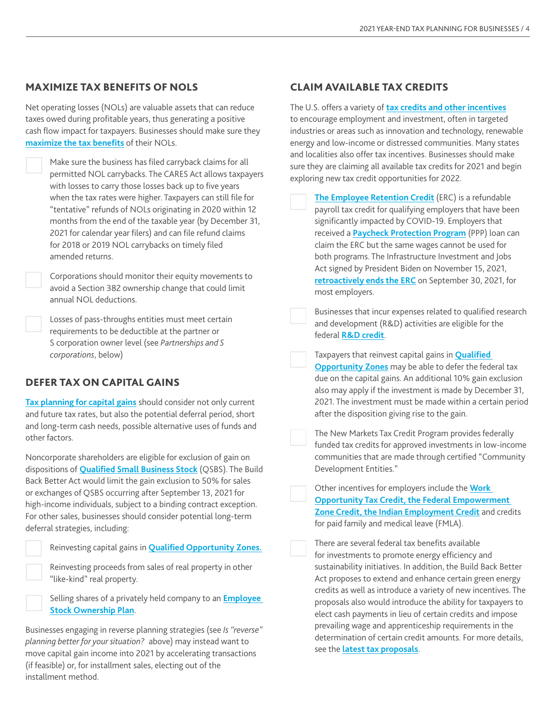## MAXIMIZE TAX BENEFITS OF NOLS

Net operating losses (NOLs) are valuable assets that can reduce taxes owed during profitable years, thus generating a positive cash flow impact for taxpayers. Businesses should make sure they **[maximize the tax benefits](https://www.bdo.com/insights/tax/federal-tax/maximizing-tax-benefits-when-planning-for-nols)** of their NOLs.

> Make sure the business has filed carryback claims for all permitted NOL carrybacks. The CARES Act allows taxpayers with losses to carry those losses back up to five years when the tax rates were higher. Taxpayers can still file for "tentative" refunds of NOLs originating in 2020 within 12 months from the end of the taxable year (by December 31, 2021 for calendar year filers) and can file refund claims for 2018 or 2019 NOL carrybacks on timely filed amended returns.

Corporations should monitor their equity movements to avoid a Section 382 ownership change that could limit annual NOL deductions.

Losses of pass-throughs entities must meet certain requirements to be deductible at the partner or S corporation owner level (see *Partnerships and S corporations*, below)

## DEFER TAX ON CAPITAL GAINS

**[Tax planning for capital gains](https://www.bdo.com/insights/tax/federal-tax/key-tax-strategies-to-consider-for-capital-gains)** should consider not only current and future tax rates, but also the potential deferral period, short and long-term cash needs, possible alternative uses of funds and other factors.

Noncorporate shareholders are eligible for exclusion of gain on dispositions of **[Qualified Small Business Stock](https://www.bdo.com/insights/industries/private-equity/qualified-small-business-stock-can-provide-a-strat)** (QSBS). The Build Back Better Act would limit the gain exclusion to 50% for sales or exchanges of QSBS occurring after September 13, 2021 for high-income individuals, subject to a binding contract exception. For other sales, businesses should consider potential long-term deferral strategies, including:

Reinvesting capital gains in **[Qualified Opportunity Zones.](https://www.bdo.com/insights/tax/federal-tax/discussion-of-the-opportunity-zone-program)**

Reinvesting proceeds from sales of real property in other "like-kind" real property.

Selling shares of a privately held company to an **[Employee](https://www.bdo.com/insights/tax/federal-tax/unlocking-liquidity-selling-your-business-to-an-es)  [Stock Ownership Plan](https://www.bdo.com/insights/tax/federal-tax/unlocking-liquidity-selling-your-business-to-an-es)**.

Businesses engaging in reverse planning strategies (see *Is "reverse" planning better for your situation?* above) may instead want to move capital gain income into 2021 by accelerating transactions (if feasible) or, for installment sales, electing out of the installment method.

## CLAIM AVAILABLE TAX CREDITS

The U.S. offers a variety of **[tax credits and other incentives](https://www.bdo.com/insights/tax/federal-tax/federal-tax-credits-can-provide-tax-and-cash-savin)** to encourage employment and investment, often in targeted industries or areas such as innovation and technology, renewable energy and low-income or distressed communities. Many states and localities also offer tax incentives. Businesses should make sure they are claiming all available tax credits for 2021 and begin exploring new tax credit opportunities for 2022.

| The Employee Retention Credit (ERC) is a refundable        |
|------------------------------------------------------------|
| payroll tax credit for qualifying employers that have been |
| significantly impacted by COVID-19. Employers that         |
| received a Paycheck Protection Program (PPP) loan can      |
| claim the ERC but the same wages cannot be used for        |
| both programs. The Infrastructure Investment and Jobs      |
| Act signed by President Biden on November 15, 2021,        |
| retroactively ends the ERC on September 30, 2021, for      |
| most employers.                                            |

Businesses that incur expenses related to qualified research and development (R&D) activities are eligible for the federal **[R&D credit](https://www.bdo.com/insights/tax/r-d-tax/r-d-tax-credit-faqs-for-large-and-small-businesses)**.

Taxpayers that reinvest capital gains in **Q[ualified](https://www.bdo.com/insights/tax/federal-tax/discussion-of-the-opportunity-zone-program)  [Opportunity Zones](https://www.bdo.com/insights/tax/federal-tax/discussion-of-the-opportunity-zone-program)** may be able to defer the federal tax due on the capital gains. An additional 10% gain exclusion also may apply if the investment is made by December 31, 2021. The investment must be made within a certain period after the disposition giving rise to the gain.

The New Markets Tax Credit Program provides federally funded tax credits for approved investments in low-income communities that are made through certified "Community Development Entities."

Other incentives for employers include the **[Work](https://www.bdo.com/insights/tax/state-and-local-tax/three-tax-credit-opportunities-extended)  [Opportunity Tax Credit, the Federal Empowerment](https://www.bdo.com/insights/tax/state-and-local-tax/three-tax-credit-opportunities-extended)  [Zone Credit, the Indian Employment Credit](https://www.bdo.com/insights/tax/state-and-local-tax/three-tax-credit-opportunities-extended)** and credits for paid family and medical leave (FMLA).

There are several federal tax benefits available for investments to promote energy efficiency and sustainability initiatives. In addition, the Build Back Better Act proposes to extend and enhance certain green energy credits as well as introduce a variety of new incentives. The proposals also would introduce the ability for taxpayers to elect cash payments in lieu of certain credits and impose prevailing wage and apprenticeship requirements in the determination of certain credit amounts. For more details, see the **[latest tax proposals](https://www.bdo.com/insights/tax/federal-tax/tracking-federal-tax-legislative-proposals)**.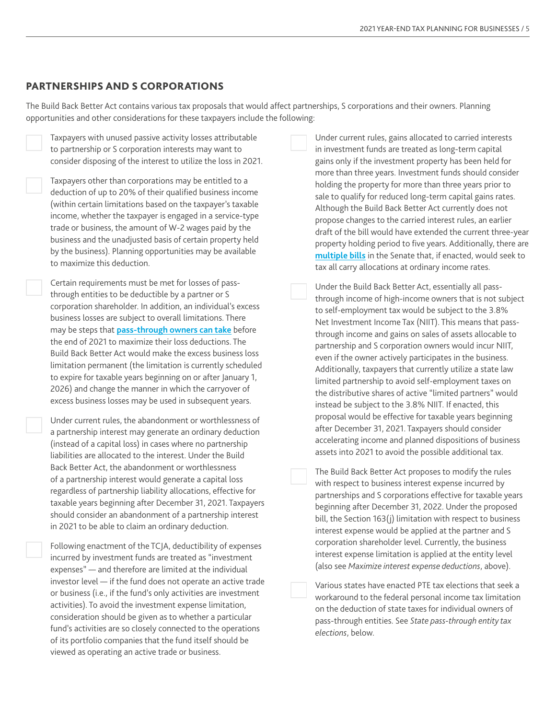#### PARTNERSHIPS AND S CORPORATIONS

The Build Back Better Act contains various tax proposals that would affect partnerships, S corporations and their owners. Planning opportunities and other considerations for these taxpayers include the following:

Taxpayers with unused passive activity losses attributable to partnership or S corporation interests may want to consider disposing of the interest to utilize the loss in 2021.

Taxpayers other than corporations may be entitled to a deduction of up to 20% of their qualified business income (within certain limitations based on the taxpayer's taxable income, whether the taxpayer is engaged in a service-type trade or business, the amount of W-2 wages paid by the business and the unadjusted basis of certain property held by the business). Planning opportunities may be available to maximize this deduction.

Certain requirements must be met for losses of passthrough entities to be deductible by a partner or S corporation shareholder. In addition, an individual's excess business losses are subject to overall limitations. There may be steps that **[pass-through owners can take](https://www.bdo.com/insights/tax/federal-tax/maximizing-tax-benefits-when-planning-for-nols)** before the end of 2021 to maximize their loss deductions. The Build Back Better Act would make the excess business loss limitation permanent (the limitation is currently scheduled to expire for taxable years beginning on or after January 1, 2026) and change the manner in which the carryover of excess business losses may be used in subsequent years.

Under current rules, the abandonment or worthlessness of a partnership interest may generate an ordinary deduction (instead of a capital loss) in cases where no partnership liabilities are allocated to the interest. Under the Build Back Better Act, the abandonment or worthlessness of a partnership interest would generate a capital loss regardless of partnership liability allocations, effective for taxable years beginning after December 31, 2021. Taxpayers should consider an abandonment of a partnership interest in 2021 to be able to claim an ordinary deduction.

Following enactment of the TCJA, deductibility of expenses incurred by investment funds are treated as "investment expenses" — and therefore are limited at the individual investor level — if the fund does not operate an active trade or business (i.e., if the fund's only activities are investment activities). To avoid the investment expense limitation, consideration should be given as to whether a particular fund's activities are so closely connected to the operations of its portfolio companies that the fund itself should be viewed as operating an active trade or business.

Under current rules, gains allocated to carried interests in investment funds are treated as long-term capital gains only if the investment property has been held for more than three years. Investment funds should consider holding the property for more than three years prior to sale to qualify for reduced long-term capital gains rates. Although the Build Back Better Act currently does not propose changes to the carried interest rules, an earlier draft of the bill would have extended the current three-year property holding period to five years. Additionally, there are **[multiple bills](https://www.bdo.com/insights/tax/federal-tax/will-congress-close-the-carried-interest-loophole)** in the Senate that, if enacted, would seek to tax all carry allocations at ordinary income rates.

Under the Build Back Better Act, essentially all passthrough income of high-income owners that is not subject to self-employment tax would be subject to the 3.8% Net Investment Income Tax (NIIT). This means that passthrough income and gains on sales of assets allocable to partnership and S corporation owners would incur NIIT, even if the owner actively participates in the business. Additionally, taxpayers that currently utilize a state law limited partnership to avoid self-employment taxes on the distributive shares of active "limited partners" would instead be subject to the 3.8% NIIT. If enacted, this proposal would be effective for taxable years beginning after December 31, 2021. Taxpayers should consider accelerating income and planned dispositions of business assets into 2021 to avoid the possible additional tax.

The Build Back Better Act proposes to modify the rules with respect to business interest expense incurred by partnerships and S corporations effective for taxable years beginning after December 31, 2022. Under the proposed bill, the Section 163(j) limitation with respect to business interest expense would be applied at the partner and S corporation shareholder level. Currently, the business interest expense limitation is applied at the entity level (also see *Maximize interest expense deductions*, above).

Various states have enacted PTE tax elections that seek a workaround to the federal personal income tax limitation on the deduction of state taxes for individual owners of pass-through entities. See *State pass-through entity tax elections*, below.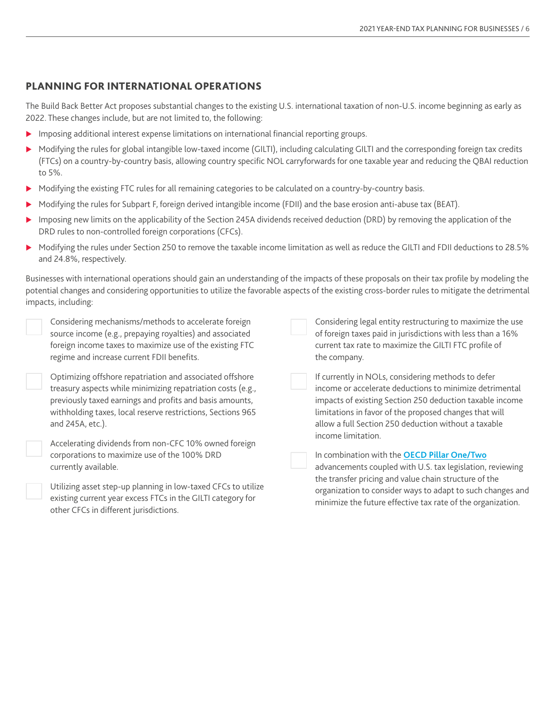## PLANNING FOR INTERNATIONAL OPERATIONS

The Build Back Better Act proposes substantial changes to the existing U.S. international taxation of non-U.S. income beginning as early as 2022. These changes include, but are not limited to, the following:

- **Imposing additional interest expense limitations on international financial reporting groups.**
- Modifying the rules for global intangible low-taxed income (GILTI), including calculating GILTI and the corresponding foreign tax credits (FTCs) on a country-by-country basis, allowing country specific NOL carryforwards for one taxable year and reducing the QBAI reduction to 5%.
- Modifying the existing FTC rules for all remaining categories to be calculated on a country-by-country basis.
- $\triangleright$  Modifying the rules for Subpart F, foreign derived intangible income (FDII) and the base erosion anti-abuse tax (BEAT).
- Imposing new limits on the applicability of the Section 245A dividends received deduction (DRD) by removing the application of the DRD rules to non-controlled foreign corporations (CFCs).
- Modifying the rules under Section 250 to remove the taxable income limitation as well as reduce the GILTI and FDII deductions to 28.5% and 24.8%, respectively.

Businesses with international operations should gain an understanding of the impacts of these proposals on their tax profile by modeling the potential changes and considering opportunities to utilize the favorable aspects of the existing cross-border rules to mitigate the detrimental impacts, including:

| Considering mechanisms/methods to accelerate foreign<br>source income (e.g., prepaying royalties) and associated<br>foreign income taxes to maximize use of the existing FTC<br>regime and increase current FDII benefits.                                             | Considering legal entity restructuring to maximize the use<br>of foreign taxes paid in jurisdictions with less than a 16%<br>current tax rate to maximize the GILTI FTC profile of<br>the company.                                                                                                                |
|------------------------------------------------------------------------------------------------------------------------------------------------------------------------------------------------------------------------------------------------------------------------|-------------------------------------------------------------------------------------------------------------------------------------------------------------------------------------------------------------------------------------------------------------------------------------------------------------------|
| Optimizing offshore repatriation and associated offshore<br>treasury aspects while minimizing repatriation costs (e.g.,<br>previously taxed earnings and profits and basis amounts,<br>withholding taxes, local reserve restrictions, Sections 965<br>and 245A, etc.). | If currently in NOLs, considering methods to defer<br>income or accelerate deductions to minimize detrimental<br>impacts of existing Section 250 deduction taxable income<br>limitations in favor of the proposed changes that will<br>allow a full Section 250 deduction without a taxable<br>income limitation. |
| Accelerating dividends from non-CFC 10% owned foreign<br>corporations to maximize use of the 100% DRD<br>currently available.                                                                                                                                          | In combination with the OECD Pillar One/Two<br>advancements coupled with U.S. tax legislation, reviewing<br>the transfer pricing and value chain structure of the                                                                                                                                                 |
| Utilizing asset step-up planning in low-taxed CFCs to utilize<br>existing current year excess FTCs in the GILTI category for<br>other CFCs in different jurisdictions.                                                                                                 | organization to consider ways to adapt to such changes and<br>minimize the future effective tax rate of the organization.                                                                                                                                                                                         |
|                                                                                                                                                                                                                                                                        |                                                                                                                                                                                                                                                                                                                   |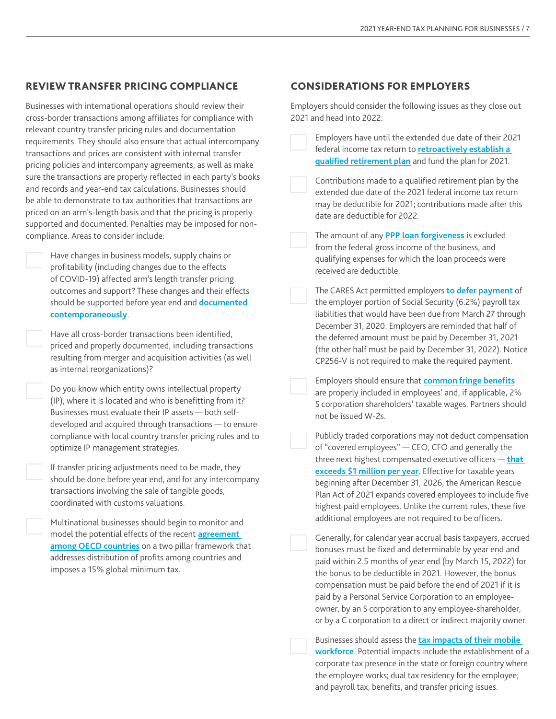## REVIEW TRANSFER PRICING COMPLIANCE

Businesses with international operations should review their cross-border transactions among affiliates for compliance with relevant country transfer pricing rules and documentation requirements. They should also ensure that actual intercompany transactions and prices are consistent with internal transfer pricing policies and intercompany agreements, as well as make sure the transactions are properly reflected in each party's books and records and year-end tax calculations. Businesses should be able to demonstrate to tax authorities that transactions are priced on an arm's-length basis and that the pricing is properly supported and documented. Penalties may be imposed for noncompliance. Areas to consider include:

> Have changes in business models, supply chains or profitability (including changes due to the effects of COVID-19) affected arm's length transfer pricing outcomes and support? These changes and their effects should be supported before year end and **[documented](https://www.bdo.com/insights/tax/international-tax/how-to-prepare-transfer-pricing-documentation-in-a)  [contemporaneously](https://www.bdo.com/insights/tax/international-tax/how-to-prepare-transfer-pricing-documentation-in-a)**.

Have all cross-border transactions been identified, priced and properly documented, including transactions resulting from merger and acquisition activities (as well as internal reorganizations)?

Do you know which entity owns intellectual property (IP), where it is located and who is benefitting from it? Businesses must evaluate their IP assets — both selfdeveloped and acquired through transactions — to ensure compliance with local country transfer pricing rules and to optimize IP management strategies.

If transfer pricing adjustments need to be made, they should be done before year end, and for any intercompany transactions involving the sale of tangible goods, coordinated with customs valuations.

Multinational businesses should begin to monitor and model the potential effects of the recent **[agreement](https://www.bdo.com/insights/tax/international-tax/oecd-announces-agreement-on-international-tax-over)  [among OECD countries](https://www.bdo.com/insights/tax/international-tax/oecd-announces-agreement-on-international-tax-over)** on a two pillar framework that addresses distribution of profits among countries and imposes a 15% global minimum tax.

#### CONSIDERATIONS FOR EMPLOYERS

Employers should consider the following issues as they close out 2021 and head into 2022:

Employers have until the extended due date of their 2021 federal income tax return to **[retroactively establish a](https://www.bdo.com/insights/tax/global-employer-services/how-to-boost-tax-deductions-by-retroactively-adopt)  [qualified retirement plan](https://www.bdo.com/insights/tax/global-employer-services/how-to-boost-tax-deductions-by-retroactively-adopt)** and fund the plan for 2021.

Contributions made to a qualified retirement plan by the extended due date of the 2021 federal income tax return may be deductible for 2021; contributions made after this date are deductible for 2022.

The amount of any **[PPP loan forgiveness](https://www.bdo.com/insights/tax/federal-tax/irs-confirms-deductibility-of-expenses-paid-with)** is excluded from the federal gross income of the business, and qualifying expenses for which the loan proceeds were received are deductible.

The CARES Act permitted employers **[to defer payment](https://nam12.safelinks.protection.outlook.com/?url=https%3A%2F%2Fwww.bdo.com%2Finsights%2Ftax%2Ffederal-tax%2Fcovid-19-payroll-tax-relief-credits-and-deferral&data=04%7C01%7CEMorillo%40bdo.com%7Ca0e325ce1502443deca708d9b43cb089%7C6e57fc1a413e405091da7d2dc8543e3c%7C0%7C0%7C637738995009499563%7CUnknown%7CTWFpbGZsb3d8eyJWIjoiMC4wLjAwMDAiLCJQIjoiV2luMzIiLCJBTiI6Ik1haWwiLCJXVCI6Mn0%3D%7C3000&sdata=Zqv7RnKsUyB6daF4PbK5XEa5n%2BY%2F11WdrsqhB%2Bz6Xsg%3D&reserved=0)** of the employer portion of Social Security (6.2%) payroll tax liabilities that would have been due from March 27 through December 31, 2020. Employers are reminded that half of the deferred amount must be paid by December 31, 2021 (the other half must be paid by December 31, 2022). Notice CP256-V is not required to make the required payment.

Employers should ensure that **[common fringe benefits](https://www.bdo.com/insights/tax/compensation-benefits/2021-year-end-reminders-regarding-common-fringe-be)** are properly included in employees' and, if applicable, 2% S corporation shareholders' taxable wages. Partners should not be issued W-2s.

Publicly traded corporations may not deduct compensation of "covered employees" — CEO, CFO and generally the three next highest compensated executive officers — **[that](https://www.bdo.com/insights/tax/global-employer-services/annual-effective-tax-rate-considerations-of-sectio)  [exceeds \\$1 million per year](https://www.bdo.com/insights/tax/global-employer-services/annual-effective-tax-rate-considerations-of-sectio)**. Effective for taxable years beginning after December 31, 2026, the American Rescue Plan Act of 2021 expands covered employees to include five highest paid employees. Unlike the current rules, these five additional employees are not required to be officers.

Generally, for calendar year accrual basis taxpayers, accrued bonuses must be fixed and determinable by year end and paid within 2.5 months of year end (by March 15, 2022) for the bonus to be deductible in 2021. However, the bonus compensation must be paid before the end of 2021 if it is paid by a Personal Service Corporation to an employeeowner, by an S corporation to any employee-shareholder, or by a C corporation to a direct or indirect majority owner.

Businesses should assess the **[tax impacts of their mobile](https://www.bdo.com/insights/tax/global-employer-services/tax-and-people-implications-of-a-remote-workforce)  [workforce](https://www.bdo.com/insights/tax/global-employer-services/tax-and-people-implications-of-a-remote-workforce)**. Potential impacts include the establishment of a corporate tax presence in the state or foreign country where the employee works; dual tax residency for the employee; and payroll tax, benefits, and transfer pricing issues.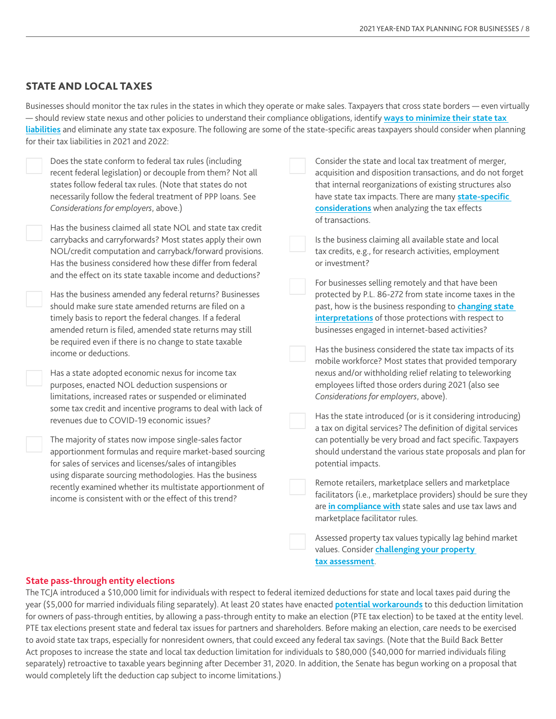### STATE AND LOCAL TAXES

Businesses should monitor the tax rules in the states in which they operate or make sales. Taxpayers that cross state borders — even virtually — should review state nexus and other policies to understand their compliance obligations, identify **[ways to minimize their state tax](https://www.bdo.com/insights/tax/state-and-local-tax/salt-watch-5-issues-to-consider-in-2021)  [liabilities](https://www.bdo.com/insights/tax/state-and-local-tax/salt-watch-5-issues-to-consider-in-2021)** and eliminate any state tax exposure. The following are some of the state-specific areas taxpayers should consider when planning for their tax liabilities in 2021 and 2022:

Does the state conform to federal tax rules (including recent federal legislation) or decouple from them? Not all states follow federal tax rules. (Note that states do not necessarily follow the federal treatment of PPP loans. See *Considerations for employers*, above.) Has the business claimed all state NOL and state tax credit carrybacks and carryforwards? Most states apply their own NOL/credit computation and carryback/forward provisions. Has the business considered how these differ from federal and the effect on its state taxable income and deductions? Has the business amended any federal returns? Businesses should make sure state amended returns are filed on a timely basis to report the federal changes. If a federal amended return is filed, amended state returns may still be required even if there is no change to state taxable income or deductions. Has a state adopted economic nexus for income tax purposes, enacted NOL deduction suspensions or limitations, increased rates or suspended or eliminated some tax credit and incentive programs to deal with lack of revenues due to COVID-19 economic issues? The majority of states now impose single-sales factor apportionment formulas and require market-based sourcing for sales of services and licenses/sales of intangibles using disparate sourcing methodologies. Has the business recently examined whether its multistate apportionment of income is consistent with or the effect of this trend? Consider the state and local tax treatment of merger, acquisition and disposition transactions, and do not forget that internal reorganizations of existing structures also have state tax impacts. There are many **[state-specific](https://www.bdo.com/insights/tax/state-and-local-tax/dont-forget-to-add-the-salt)  [considerations](https://www.bdo.com/insights/tax/state-and-local-tax/dont-forget-to-add-the-salt)** when analyzing the tax effects of transactions. Is the business claiming all available state and local tax credits, e.g., for research activities, employment or investment? For businesses selling remotely and that have been protected by P.L. 86-272 from state income taxes in the past, how is the business responding to **[changing state](https://www.bdo.com/insights/tax/state-and-local-tax/mtcs-view-of-pl-86272-is-changing-heres-what-you-n)  [interpretations](https://www.bdo.com/insights/tax/state-and-local-tax/mtcs-view-of-pl-86272-is-changing-heres-what-you-n)** of those protections with respect to businesses engaged in internet-based activities? Has the business considered the state tax impacts of its mobile workforce? Most states that provided temporary nexus and/or withholding relief relating to teleworking employees lifted those orders during 2021 (also see *Considerations for employers*, above). Has the state introduced (or is it considering introducing) a tax on digital services? The definition of digital services can potentially be very broad and fact specific. Taxpayers should understand the various state proposals and plan for potential impacts. Remote retailers, marketplace sellers and marketplace facilitators (i.e., marketplace providers) should be sure they are **[in compliance with](https://www.bdo.com/insights/tax/state-and-local-tax/sales-tax-traps-for-e-retailers)** state sales and use tax laws and marketplace facilitator rules. Assessed property tax values typically lag behind market values. Consider **[challenging your property](https://www.bdo.com/insights/tax/state-and-local-tax/property-tax-assessment-appeals)** 

#### **State pass-through entity elections**

The TCJA introduced a \$10,000 limit for individuals with respect to federal itemized deductions for state and local taxes paid during the year (\$5,000 for married individuals filing separately). At least 20 states have enacted **[potential workarounds](https://www.bdo.com/insights/tax/state-and-local-tax/irs-clarifies-that-salt-deduction-cap-does-not)** to this deduction limitation for owners of pass-through entities, by allowing a pass-through entity to make an election (PTE tax election) to be taxed at the entity level. PTE tax elections present state and federal tax issues for partners and shareholders. Before making an election, care needs to be exercised to avoid state tax traps, especially for nonresident owners, that could exceed any federal tax savings. (Note that the Build Back Better Act proposes to increase the state and local tax deduction limitation for individuals to \$80,000 (\$40,000 for married individuals filing separately) retroactive to taxable years beginning after December 31, 2020. In addition, the Senate has begun working on a proposal that would completely lift the deduction cap subject to income limitations.)

**[tax assessment](https://www.bdo.com/insights/tax/state-and-local-tax/property-tax-assessment-appeals)**.